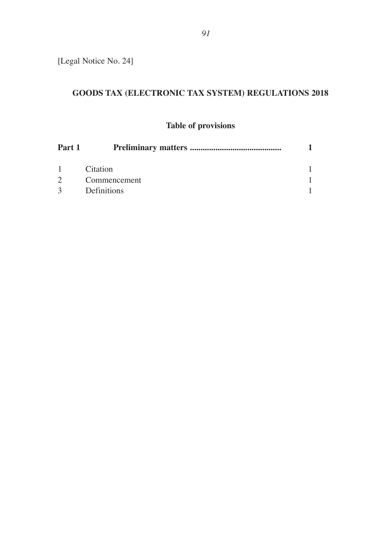[Legal Notice No. 24]

# **GOODS TAX (ELECTRONIC TAX SYSTEM) REGULATIONS 2018**

## **Table of provisions**

| Part 1        |              |  |
|---------------|--------------|--|
| 1             | Citation     |  |
| $2^{\circ}$   | Commencement |  |
| $\mathcal{R}$ | Definitions  |  |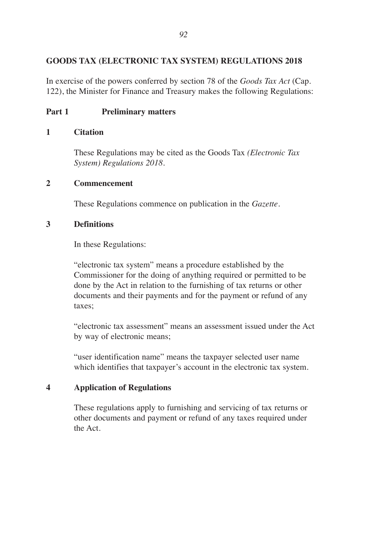## **GOODS TAX (ELECTRONIC TAX SYSTEM) REGULATIONS 2018**

In exercise of the powers conferred by section 78 of the *Goods Tax Act* (Cap. 122), the Minister for Finance and Treasury makes the following Regulations:

### **Part 1 Preliminary matters**

#### **1 Citation**

These Regulations may be cited as the Goods Tax *(Electronic Tax System) Regulations 2018.*

#### **2 Commencement**

These Regulations commence on publication in the *Gazette.*

#### **3 Definitions**

In these Regulations:

"electronic tax system" means a procedure established by the Commissioner for the doing of anything required or permitted to be done by the Act in relation to the furnishing of tax returns or other documents and their payments and for the payment or refund of any taxes;

"electronic tax assessment" means an assessment issued under the Act by way of electronic means;

"user identification name" means the taxpayer selected user name which identifies that taxpayer's account in the electronic tax system.

#### **4 Application of Regulations**

These regulations apply to furnishing and servicing of tax returns or other documents and payment or refund of any taxes required under the Act.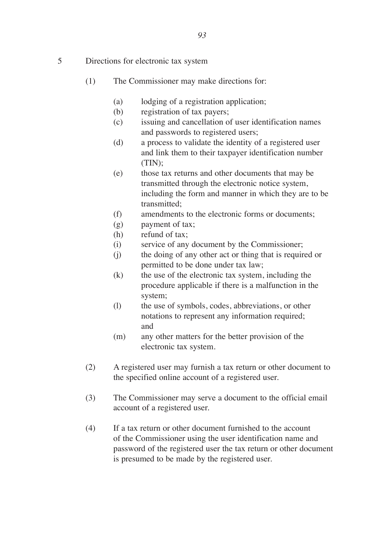- 5 Directions for electronic tax system
	- (1) The Commissioner may make directions for:
		- (a) lodging of a registration application;
		- (b) registration of tax payers;
		- (c) issuing and cancellation of user identification names and passwords to registered users;
		- (d) a process to validate the identity of a registered user and link them to their taxpayer identification number (TIN);
		- (e) those tax returns and other documents that may be transmitted through the electronic notice system, including the form and manner in which they are to be transmitted;
		- (f) amendments to the electronic forms or documents;
		- (g) payment of tax;
		- (h) refund of tax;
		- (i) service of any document by the Commissioner;
		- (j) the doing of any other act or thing that is required or permitted to be done under tax law;
		- (k) the use of the electronic tax system, including the procedure applicable if there is a malfunction in the system;
		- (l) the use of symbols, codes, abbreviations, or other notations to represent any information required; and
		- (m) any other matters for the better provision of the electronic tax system.
	- (2) A registered user may furnish a tax return or other document to the specified online account of a registered user.
	- (3) The Commissioner may serve a document to the official email account of a registered user.
	- (4) If a tax return or other document furnished to the account of the Commissioner using the user identification name and password of the registered user the tax return or other document is presumed to be made by the registered user.

*93*